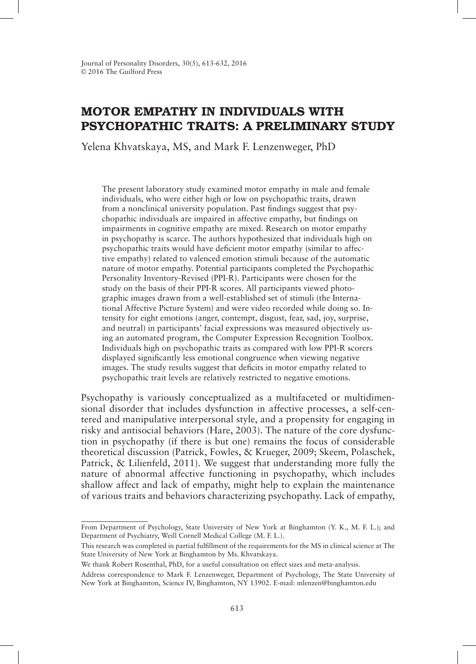# MOTOR EMPATHY IN INDIVIDUALS WITH PSYCHOPATHIC TRAITS: A PRELIMINARY STUDY

Yelena Khvatskaya, MS, and Mark F. Lenzenweger, PhD

The present laboratory study examined motor empathy in male and female individuals, who were either high or low on psychopathic traits, drawn from a nonclinical university population. Past findings suggest that psychopathic individuals are impaired in affective empathy, but findings on impairments in cognitive empathy are mixed. Research on motor empathy in psychopathy is scarce. The authors hypothesized that individuals high on psychopathic traits would have deficient motor empathy (similar to affective empathy) related to valenced emotion stimuli because of the automatic nature of motor empathy. Potential participants completed the Psychopathic Personality Inventory-Revised (PPI-R). Participants were chosen for the study on the basis of their PPI-R scores. All participants viewed photographic images drawn from a well-established set of stimuli (the International Affective Picture System) and were video recorded while doing so. Intensity for eight emotions (anger, contempt, disgust, fear, sad, joy, surprise, and neutral) in participants' facial expressions was measured objectively using an automated program, the Computer Expression Recognition Toolbox. Individuals high on psychopathic traits as compared with low PPI-R scorers displayed significantly less emotional congruence when viewing negative images. The study results suggest that deficits in motor empathy related to psychopathic trait levels are relatively restricted to negative emotions.

Psychopathy is variously conceptualized as a multifaceted or multidimensional disorder that includes dysfunction in affective processes, a self-centered and manipulative interpersonal style, and a propensity for engaging in risky and antisocial behaviors (Hare, 2003). The nature of the core dysfunction in psychopathy (if there is but one) remains the focus of considerable theoretical discussion (Patrick, Fowles, & Krueger, 2009; Skeem, Polaschek, Patrick, & Lilienfeld, 2011). We suggest that understanding more fully the nature of abnormal affective functioning in psychopathy, which includes shallow affect and lack of empathy, might help to explain the maintenance of various traits and behaviors characterizing psychopathy. Lack of empathy,

From Department of Psychology, State University of New York at Binghamton (Y. K., M. F. L.); and Department of Psychiatry, Weill Cornell Medical College (M. F. L.).

This research was completed in partial fulfillment of the requirements for the MS in clinical science at The State University of New York at Binghamton by Ms. Khvatskaya.

We thank Robert Rosenthal, PhD, for a useful consultation on effect sizes and meta-analysis.

Address correspondence to Mark F. Lenzenweger, Department of Psychology, The State University of New York at Binghamton, Science IV, Binghamton, NY 13902. E-mail: mlenzen@binghamton.edu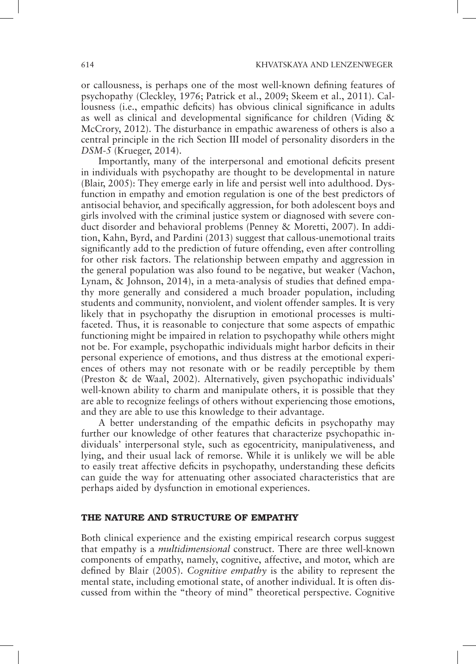or callousness, is perhaps one of the most well-known defining features of psychopathy (Cleckley, 1976; Patrick et al., 2009; Skeem et al., 2011). Callousness (i.e., empathic deficits) has obvious clinical significance in adults as well as clinical and developmental significance for children (Viding & McCrory, 2012). The disturbance in empathic awareness of others is also a central principle in the rich Section III model of personality disorders in the *DSM*-*5* (Krueger, 2014).

Importantly, many of the interpersonal and emotional deficits present in individuals with psychopathy are thought to be developmental in nature (Blair, 2005): They emerge early in life and persist well into adulthood. Dysfunction in empathy and emotion regulation is one of the best predictors of antisocial behavior, and specifically aggression, for both adolescent boys and girls involved with the criminal justice system or diagnosed with severe conduct disorder and behavioral problems (Penney & Moretti, 2007). In addition, Kahn, Byrd, and Pardini (2013) suggest that callous-unemotional traits significantly add to the prediction of future offending, even after controlling for other risk factors. The relationship between empathy and aggression in the general population was also found to be negative, but weaker (Vachon, Lynam, & Johnson, 2014), in a meta-analysis of studies that defined empathy more generally and considered a much broader population, including students and community, nonviolent, and violent offender samples*.* It is very likely that in psychopathy the disruption in emotional processes is multifaceted. Thus, it is reasonable to conjecture that some aspects of empathic functioning might be impaired in relation to psychopathy while others might not be. For example, psychopathic individuals might harbor deficits in their personal experience of emotions, and thus distress at the emotional experiences of others may not resonate with or be readily perceptible by them (Preston & de Waal, 2002). Alternatively, given psychopathic individuals' well-known ability to charm and manipulate others, it is possible that they are able to recognize feelings of others without experiencing those emotions, and they are able to use this knowledge to their advantage.

A better understanding of the empathic deficits in psychopathy may further our knowledge of other features that characterize psychopathic individuals' interpersonal style, such as egocentricity, manipulativeness, and lying, and their usual lack of remorse. While it is unlikely we will be able to easily treat affective deficits in psychopathy, understanding these deficits can guide the way for attenuating other associated characteristics that are perhaps aided by dysfunction in emotional experiences.

#### THE NATURE AND STRUCTURE OF EMPATHY

Both clinical experience and the existing empirical research corpus suggest that empathy is a *multidimensional* construct. There are three well-known components of empathy, namely, cognitive, affective, and motor, which are defined by Blair (2005). *Cognitive empathy* is the ability to represent the mental state, including emotional state, of another individual. It is often discussed from within the "theory of mind" theoretical perspective. Cognitive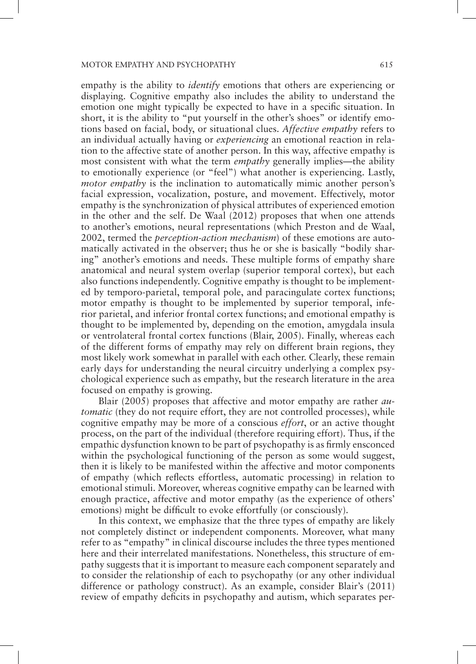empathy is the ability to *identify* emotions that others are experiencing or displaying. Cognitive empathy also includes the ability to understand the emotion one might typically be expected to have in a specific situation. In short, it is the ability to "put yourself in the other's shoes" or identify emotions based on facial, body, or situational clues. *Affective empathy* refers to an individual actually having or *experiencing* an emotional reaction in relation to the affective state of another person. In this way, affective empathy is most consistent with what the term *empathy* generally implies—the ability to emotionally experience (or "feel") what another is experiencing. Lastly, *motor empathy* is the inclination to automatically mimic another person's facial expression, vocalization, posture, and movement. Effectively, motor empathy is the synchronization of physical attributes of experienced emotion in the other and the self. De Waal (2012) proposes that when one attends to another's emotions, neural representations (which Preston and de Waal, 2002, termed the *perception-action mechanism*) of these emotions are automatically activated in the observer; thus he or she is basically "bodily sharing" another's emotions and needs. These multiple forms of empathy share anatomical and neural system overlap (superior temporal cortex), but each also functions independently. Cognitive empathy is thought to be implemented by temporo-parietal, temporal pole, and paracingulate cortex functions; motor empathy is thought to be implemented by superior temporal, inferior parietal, and inferior frontal cortex functions; and emotional empathy is thought to be implemented by, depending on the emotion, amygdala insula or ventrolateral frontal cortex functions (Blair, 2005). Finally, whereas each of the different forms of empathy may rely on different brain regions, they most likely work somewhat in parallel with each other. Clearly, these remain early days for understanding the neural circuitry underlying a complex psychological experience such as empathy, but the research literature in the area focused on empathy is growing.

Blair (2005) proposes that affective and motor empathy are rather *automatic* (they do not require effort, they are not controlled processes), while cognitive empathy may be more of a conscious *effort*, or an active thought process, on the part of the individual (therefore requiring effort). Thus, if the empathic dysfunction known to be part of psychopathy is as firmly ensconced within the psychological functioning of the person as some would suggest, then it is likely to be manifested within the affective and motor components of empathy (which reflects effortless, automatic processing) in relation to emotional stimuli. Moreover, whereas cognitive empathy can be learned with enough practice, affective and motor empathy (as the experience of others' emotions) might be difficult to evoke effortfully (or consciously).

In this context, we emphasize that the three types of empathy are likely not completely distinct or independent components. Moreover, what many refer to as "empathy" in clinical discourse includes the three types mentioned here and their interrelated manifestations. Nonetheless, this structure of empathy suggests that it is important to measure each component separately and to consider the relationship of each to psychopathy (or any other individual difference or pathology construct). As an example, consider Blair's (2011) review of empathy deficits in psychopathy and autism, which separates per-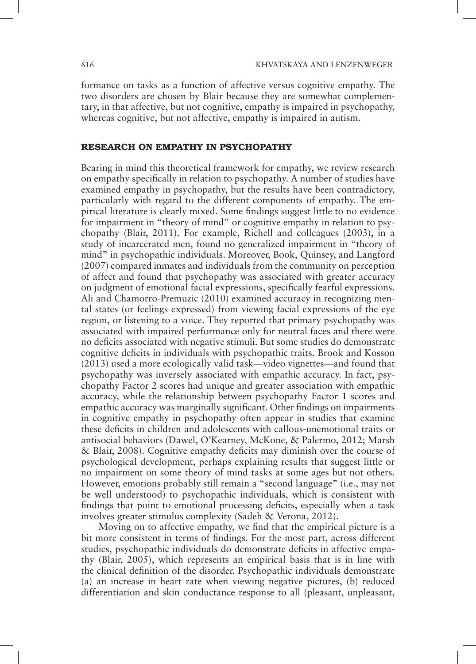formance on tasks as a function of affective versus cognitive empathy. The two disorders are chosen by Blair because they are somewhat complementary, in that affective, but not cognitive, empathy is impaired in psychopathy, whereas cognitive, but not affective, empathy is impaired in autism.

### RESEARCH ON EMPATHY IN PSYCHOPATHY

Bearing in mind this theoretical framework for empathy, we review research on empathy specifically in relation to psychopathy. A number of studies have examined empathy in psychopathy, but the results have been contradictory, particularly with regard to the different components of empathy. The empirical literature is clearly mixed. Some findings suggest little to no evidence for impairment in "theory of mind" or cognitive empathy in relation to psychopathy (Blair, 2011). For example, Richell and colleagues (2003), in a study of incarcerated men, found no generalized impairment in "theory of mind" in psychopathic individuals. Moreover, Book, Quinsey, and Langford (2007) compared inmates and individuals from the community on perception of affect and found that psychopathy was associated with greater accuracy on judgment of emotional facial expressions, specifically fearful expressions. Ali and Chamorro-Premuzic (2010) examined accuracy in recognizing mental states (or feelings expressed) from viewing facial expressions of the eye region, or listening to a voice. They reported that primary psychopathy was associated with impaired performance only for neutral faces and there were no deficits associated with negative stimuli. But some studies do demonstrate cognitive deficits in individuals with psychopathic traits. Brook and Kosson (2013) used a more ecologically valid task—video vignettes—and found that psychopathy was inversely associated with empathic accuracy. In fact, psychopathy Factor 2 scores had unique and greater association with empathic accuracy, while the relationship between psychopathy Factor 1 scores and empathic accuracy was marginally significant. Other findings on impairments in cognitive empathy in psychopathy often appear in studies that examine these deficits in children and adolescents with callous-unemotional traits or antisocial behaviors (Dawel, O'Kearney, McKone, & Palermo, 2012; Marsh & Blair, 2008). Cognitive empathy deficits may diminish over the course of psychological development, perhaps explaining results that suggest little or no impairment on some theory of mind tasks at some ages but not others. However, emotions probably still remain a "second language" (i.e., may not be well understood) to psychopathic individuals, which is consistent with findings that point to emotional processing deficits, especially when a task involves greater stimulus complexity (Sadeh & Verona, 2012).

Moving on to affective empathy, we find that the empirical picture is a bit more consistent in terms of findings. For the most part, across different studies, psychopathic individuals do demonstrate deficits in affective empathy (Blair, 2005), which represents an empirical basis that is in line with the clinical definition of the disorder. Psychopathic individuals demonstrate (a) an increase in heart rate when viewing negative pictures, (b) reduced differentiation and skin conductance response to all (pleasant, unpleasant,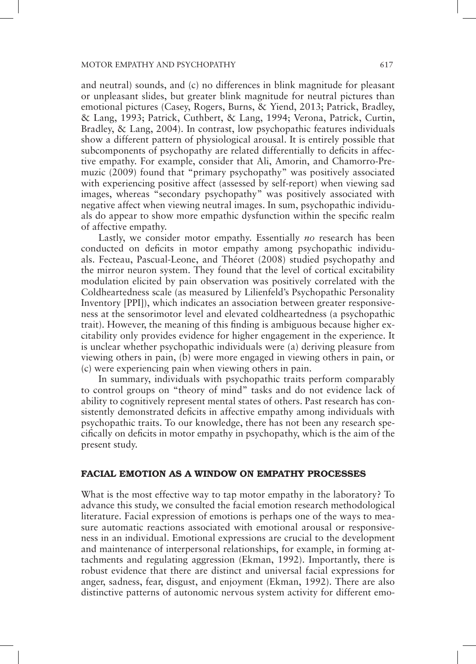and neutral) sounds, and (c) no differences in blink magnitude for pleasant or unpleasant slides, but greater blink magnitude for neutral pictures than emotional pictures (Casey, Rogers, Burns, & Yiend, 2013; Patrick, Bradley, & Lang, 1993; Patrick, Cuthbert, & Lang, 1994; Verona, Patrick, Curtin, Bradley, & Lang, 2004). In contrast, low psychopathic features individuals show a different pattern of physiological arousal. It is entirely possible that subcomponents of psychopathy are related differentially to deficits in affective empathy. For example, consider that Ali, Amorin, and Chamorro-Premuzic (2009) found that "primary psychopathy" was positively associated with experiencing positive affect (assessed by self-report) when viewing sad images, whereas "secondary psychopathy" was positively associated with negative affect when viewing neutral images. In sum, psychopathic individuals do appear to show more empathic dysfunction within the specific realm of affective empathy.

Lastly, we consider motor empathy. Essentially *no* research has been conducted on deficits in motor empathy among psychopathic individuals. Fecteau, Pascual-Leone, and Théoret (2008) studied psychopathy and the mirror neuron system. They found that the level of cortical excitability modulation elicited by pain observation was positively correlated with the Coldheartedness scale (as measured by Lilienfeld's Psychopathic Personality Inventory [PPI]), which indicates an association between greater responsiveness at the sensorimotor level and elevated coldheartedness (a psychopathic trait). However, the meaning of this finding is ambiguous because higher excitability only provides evidence for higher engagement in the experience. It is unclear whether psychopathic individuals were (a) deriving pleasure from viewing others in pain, (b) were more engaged in viewing others in pain, or (c) were experiencing pain when viewing others in pain.

In summary, individuals with psychopathic traits perform comparably to control groups on "theory of mind" tasks and do not evidence lack of ability to cognitively represent mental states of others. Past research has consistently demonstrated deficits in affective empathy among individuals with psychopathic traits. To our knowledge, there has not been any research specifically on deficits in motor empathy in psychopathy, which is the aim of the present study.

## FACIAL EMOTION AS A WINDOW ON EMPATHY PROCESSES

What is the most effective way to tap motor empathy in the laboratory? To advance this study, we consulted the facial emotion research methodological literature. Facial expression of emotions is perhaps one of the ways to measure automatic reactions associated with emotional arousal or responsiveness in an individual. Emotional expressions are crucial to the development and maintenance of interpersonal relationships, for example, in forming attachments and regulating aggression (Ekman, 1992). Importantly, there is robust evidence that there are distinct and universal facial expressions for anger, sadness, fear, disgust, and enjoyment (Ekman, 1992). There are also distinctive patterns of autonomic nervous system activity for different emo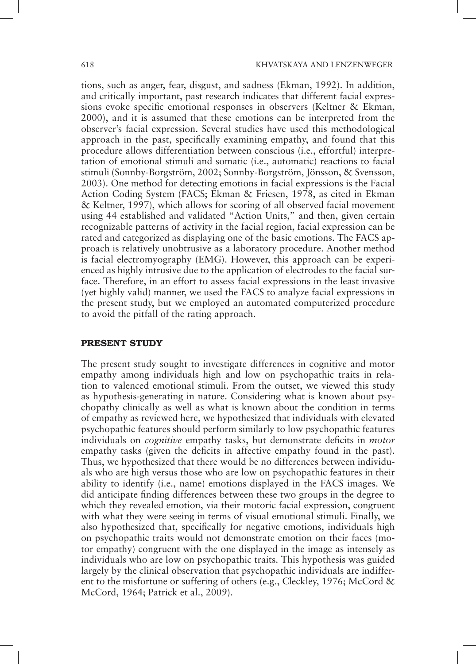tions, such as anger, fear, disgust, and sadness (Ekman, 1992). In addition, and critically important, past research indicates that different facial expressions evoke specific emotional responses in observers (Keltner & Ekman, 2000), and it is assumed that these emotions can be interpreted from the observer's facial expression. Several studies have used this methodological approach in the past, specifically examining empathy, and found that this procedure allows differentiation between conscious (i.e., effortful) interpretation of emotional stimuli and somatic (i.e., automatic) reactions to facial stimuli (Sonnby-Borgström, 2002; Sonnby-Borgström, Jönsson, & Svensson, 2003). One method for detecting emotions in facial expressions is the Facial Action Coding System (FACS; Ekman & Friesen, 1978, as cited in Ekman & Keltner, 1997), which allows for scoring of all observed facial movement using 44 established and validated "Action Units," and then, given certain recognizable patterns of activity in the facial region, facial expression can be rated and categorized as displaying one of the basic emotions. The FACS approach is relatively unobtrusive as a laboratory procedure. Another method is facial electromyography (EMG). However, this approach can be experienced as highly intrusive due to the application of electrodes to the facial surface. Therefore, in an effort to assess facial expressions in the least invasive (yet highly valid) manner, we used the FACS to analyze facial expressions in the present study, but we employed an automated computerized procedure to avoid the pitfall of the rating approach.

#### PRESENT STUDY

The present study sought to investigate differences in cognitive and motor empathy among individuals high and low on psychopathic traits in relation to valenced emotional stimuli. From the outset, we viewed this study as hypothesis-generating in nature. Considering what is known about psychopathy clinically as well as what is known about the condition in terms of empathy as reviewed here, we hypothesized that individuals with elevated psychopathic features should perform similarly to low psychopathic features individuals on *cognitive* empathy tasks, but demonstrate deficits in *motor* empathy tasks (given the deficits in affective empathy found in the past). Thus, we hypothesized that there would be no differences between individuals who are high versus those who are low on psychopathic features in their ability to identify (i.e., name) emotions displayed in the FACS images. We did anticipate finding differences between these two groups in the degree to which they revealed emotion, via their motoric facial expression, congruent with what they were seeing in terms of visual emotional stimuli. Finally, we also hypothesized that, specifically for negative emotions, individuals high on psychopathic traits would not demonstrate emotion on their faces (motor empathy) congruent with the one displayed in the image as intensely as individuals who are low on psychopathic traits. This hypothesis was guided largely by the clinical observation that psychopathic individuals are indifferent to the misfortune or suffering of others (e.g., Cleckley, 1976; McCord  $\&$ McCord, 1964; Patrick et al., 2009).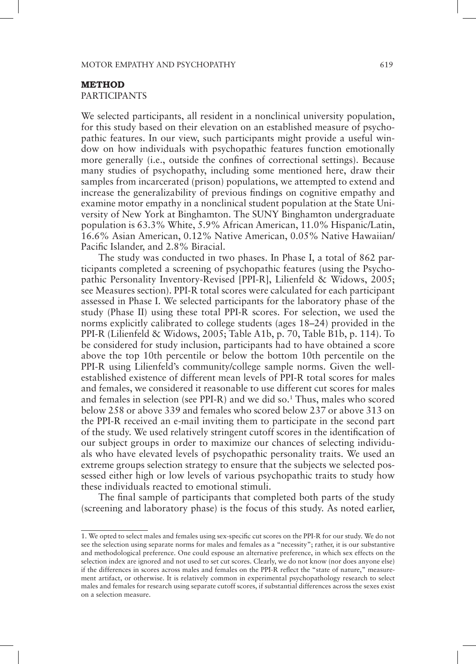#### METHOD

PARTICIPANTS

We selected participants, all resident in a nonclinical university population, for this study based on their elevation on an established measure of psychopathic features. In our view, such participants might provide a useful window on how individuals with psychopathic features function emotionally more generally (i.e., outside the confines of correctional settings). Because many studies of psychopathy, including some mentioned here, draw their samples from incarcerated (prison) populations, we attempted to extend and increase the generalizability of previous findings on cognitive empathy and examine motor empathy in a nonclinical student population at the State University of New York at Binghamton. The SUNY Binghamton undergraduate population is 63.3% White, 5.9% African American, 11.0% Hispanic/Latin, 16.6% Asian American, 0.12% Native American, 0.05% Native Hawaiian/ Pacific Islander, and 2.8% Biracial.

The study was conducted in two phases. In Phase I, a total of 862 participants completed a screening of psychopathic features (using the Psychopathic Personality Inventory-Revised [PPI-R], Lilienfeld & Widows, 2005; see Measures section). PPI-R total scores were calculated for each participant assessed in Phase I. We selected participants for the laboratory phase of the study (Phase II) using these total PPI-R scores. For selection, we used the norms explicitly calibrated to college students (ages 18–24) provided in the PPI-R (Lilienfeld & Widows, 2005; Table A1b, p. 70, Table B1b, p. 114). To be considered for study inclusion, participants had to have obtained a score above the top 10th percentile or below the bottom 10th percentile on the PPI-R using Lilienfeld's community/college sample norms. Given the wellestablished existence of different mean levels of PPI-R total scores for males and females, we considered it reasonable to use different cut scores for males and females in selection (see PPI-R) and we did so.<sup>1</sup> Thus, males who scored below 258 or above 339 and females who scored below 237 or above 313 on the PPI-R received an e-mail inviting them to participate in the second part of the study. We used relatively stringent cutoff scores in the identification of our subject groups in order to maximize our chances of selecting individuals who have elevated levels of psychopathic personality traits. We used an extreme groups selection strategy to ensure that the subjects we selected possessed either high or low levels of various psychopathic traits to study how these individuals reacted to emotional stimuli.

The final sample of participants that completed both parts of the study (screening and laboratory phase) is the focus of this study. As noted earlier,

<sup>1.</sup> We opted to select males and females using sex-specific cut scores on the PPI-R for our study. We do not see the selection using separate norms for males and females as a "necessity"; rather, it is our substantive and methodological preference. One could espouse an alternative preference, in which sex effects on the selection index are ignored and not used to set cut scores. Clearly, we do not know (nor does anyone else) if the differences in scores across males and females on the PPI-R reflect the "state of nature," measurement artifact, or otherwise. It is relatively common in experimental psychopathology research to select males and females for research using separate cutoff scores, if substantial differences across the sexes exist on a selection measure.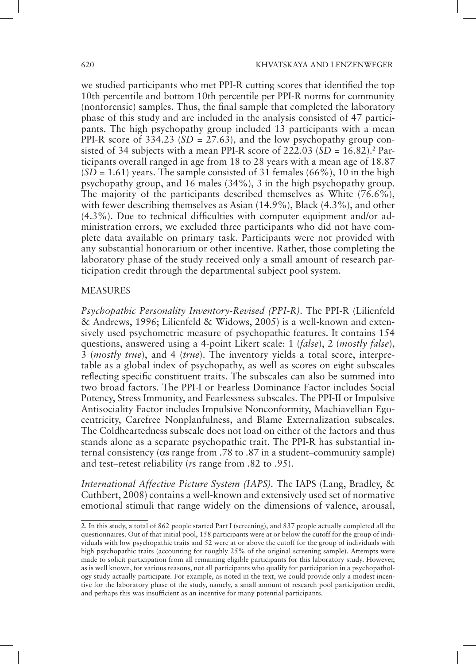we studied participants who met PPI-R cutting scores that identified the top 10th percentile and bottom 10th percentile per PPI-R norms for community (nonforensic) samples. Thus, the final sample that completed the laboratory phase of this study and are included in the analysis consisted of 47 participants. The high psychopathy group included 13 participants with a mean PPI-R score of  $3\overline{3}4.23$  ( $SD = 27.63$ ), and the low psychopathy group consisted of 34 subjects with a mean PPI-R score of  $222.03$  (*SD* =  $16.82$ ).<sup>2</sup> Participants overall ranged in age from 18 to 28 years with a mean age of 18.87  $(SD = 1.61)$  years. The sample consisted of 31 females  $(66\%)$ , 10 in the high psychopathy group, and 16 males (34%), 3 in the high psychopathy group. The majority of the participants described themselves as White (76.6%), with fewer describing themselves as Asian (14.9%), Black (4.3%), and other (4.3%). Due to technical difficulties with computer equipment and/or administration errors, we excluded three participants who did not have complete data available on primary task. Participants were not provided with any substantial honorarium or other incentive. Rather, those completing the laboratory phase of the study received only a small amount of research participation credit through the departmental subject pool system.

#### MEASURES

*Psychopathic Personality Inventory-Revised (PPI-R).* The PPI-R (Lilienfeld & Andrews, 1996; Lilienfeld & Widows, 2005) is a well-known and extensively used psychometric measure of psychopathic features. It contains 154 questions, answered using a 4-point Likert scale: 1 (*false*), 2 (*mostly false*), 3 (*mostly true*), and 4 (*true*). The inventory yields a total score, interpretable as a global index of psychopathy, as well as scores on eight subscales reflecting specific constituent traits. The subscales can also be summed into two broad factors. The PPI-I or Fearless Dominance Factor includes Social Potency, Stress Immunity, and Fearlessness subscales. The PPI-II or Impulsive Antisociality Factor includes Impulsive Nonconformity, Machiavellian Egocentricity, Carefree Nonplanfulness, and Blame Externalization subscales. The Coldheartedness subscale does not load on either of the factors and thus stands alone as a separate psychopathic trait. The PPI-R has substantial internal consistency ( $\alpha$ s range from .78 to .87 in a student–community sample) and test–retest reliability (*r*s range from .82 to .95).

*International Affective Picture System (IAPS).* The IAPS (Lang, Bradley, & Cuthbert, 2008) contains a well-known and extensively used set of normative emotional stimuli that range widely on the dimensions of valence, arousal,

<sup>2.</sup> In this study, a total of 862 people started Part I (screening), and 837 people actually completed all the questionnaires. Out of that initial pool, 158 participants were at or below the cutoff for the group of individuals with low psychopathic traits and 52 were at or above the cutoff for the group of individuals with high psychopathic traits (accounting for roughly 25% of the original screening sample). Attempts were made to solicit participation from all remaining eligible participants for this laboratory study. However, as is well known, for various reasons, not all participants who qualify for participation in a psychopathology study actually participate. For example, as noted in the text, we could provide only a modest incentive for the laboratory phase of the study, namely, a small amount of research pool participation credit, and perhaps this was insufficient as an incentive for many potential participants.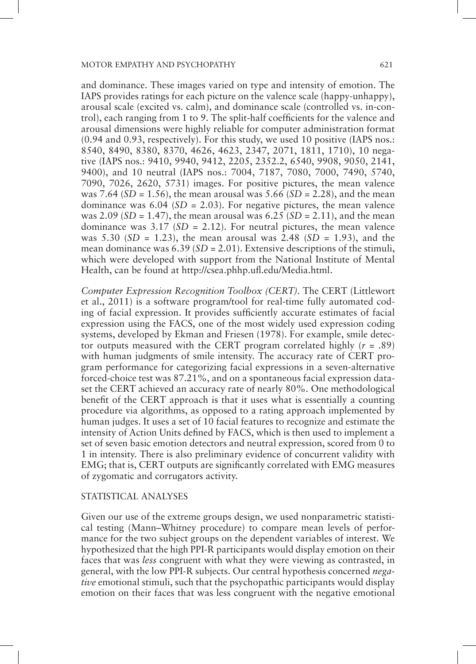and dominance. These images varied on type and intensity of emotion. The IAPS provides ratings for each picture on the valence scale (happy-unhappy), arousal scale (excited vs. calm), and dominance scale (controlled vs. in-control), each ranging from 1 to 9. The split-half coefficients for the valence and arousal dimensions were highly reliable for computer administration format (0.94 and 0.93, respectively). For this study, we used 10 positive (IAPS nos.: 8540, 8490, 8380, 8370, 4626, 4623, 2347, 2071, 1811, 1710), 10 negative (IAPS nos.: 9410, 9940, 9412, 2205, 2352.2, 6540, 9908, 9050, 2141, 9400), and 10 neutral (IAPS nos.: 7004, 7187, 7080, 7000, 7490, 5740, 7090, 7026, 2620, 5731) images. For positive pictures, the mean valence was 7.64 (*SD* = 1.56), the mean arousal was 5.66 (*SD* = 2.28), and the mean dominance was  $6.04$  (*SD* = 2.03). For negative pictures, the mean valence was 2.09 (*SD* = 1.47), the mean arousal was 6.25 (*SD* = 2.11), and the mean dominance was  $3.17$  (*SD* = 2.12). For neutral pictures, the mean valence was 5.30 (*SD* = 1.23), the mean arousal was 2.48 (*SD* = 1.93), and the mean dominance was 6.39 (*SD* = 2.01). Extensive descriptions of the stimuli, which were developed with support from the National Institute of Mental Health, can be found at http://csea.phhp.ufl.edu/Media.html.

*Computer Expression Recognition Toolbox (CERT).* The CERT (Littlewort et al., 2011) is a software program/tool for real-time fully automated coding of facial expression. It provides sufficiently accurate estimates of facial expression using the FACS, one of the most widely used expression coding systems, developed by Ekman and Friesen (1978). For example, smile detector outputs measured with the CERT program correlated highly (*r* = .89) with human judgments of smile intensity. The accuracy rate of CERT program performance for categorizing facial expressions in a seven-alternative forced-choice test was 87.21%, and on a spontaneous facial expression dataset the CERT achieved an accuracy rate of nearly 80%. One methodological benefit of the CERT approach is that it uses what is essentially a counting procedure via algorithms, as opposed to a rating approach implemented by human judges. It uses a set of 10 facial features to recognize and estimate the intensity of Action Units defined by FACS, which is then used to implement a set of seven basic emotion detectors and neutral expression, scored from 0 to 1 in intensity. There is also preliminary evidence of concurrent validity with EMG; that is, CERT outputs are significantly correlated with EMG measures of zygomatic and corrugators activity.

## STATISTICAL ANALYSES

Given our use of the extreme groups design, we used nonparametric statistical testing (Mann–Whitney procedure) to compare mean levels of performance for the two subject groups on the dependent variables of interest. We hypothesized that the high PPI-R participants would display emotion on their faces that was *less* congruent with what they were viewing as contrasted, in general, with the low PPI-R subjects. Our central hypothesis concerned *negative* emotional stimuli, such that the psychopathic participants would display emotion on their faces that was less congruent with the negative emotional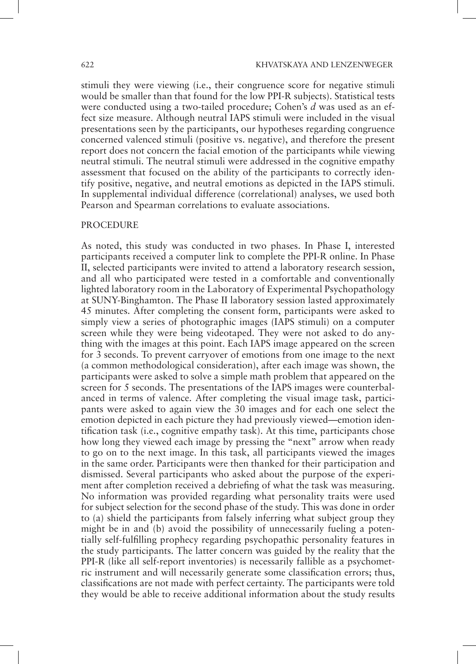stimuli they were viewing (i.e., their congruence score for negative stimuli would be smaller than that found for the low PPI-R subjects). Statistical tests were conducted using a two-tailed procedure; Cohen's *d* was used as an effect size measure. Although neutral IAPS stimuli were included in the visual presentations seen by the participants, our hypotheses regarding congruence concerned valenced stimuli (positive vs. negative), and therefore the present report does not concern the facial emotion of the participants while viewing neutral stimuli. The neutral stimuli were addressed in the cognitive empathy assessment that focused on the ability of the participants to correctly identify positive, negative, and neutral emotions as depicted in the IAPS stimuli. In supplemental individual difference (correlational) analyses, we used both Pearson and Spearman correlations to evaluate associations.

#### **PROCEDURE**

As noted, this study was conducted in two phases. In Phase I, interested participants received a computer link to complete the PPI-R online. In Phase II, selected participants were invited to attend a laboratory research session, and all who participated were tested in a comfortable and conventionally lighted laboratory room in the Laboratory of Experimental Psychopathology at SUNY-Binghamton. The Phase II laboratory session lasted approximately 45 minutes. After completing the consent form, participants were asked to simply view a series of photographic images (IAPS stimuli) on a computer screen while they were being videotaped. They were not asked to do anything with the images at this point. Each IAPS image appeared on the screen for 3 seconds. To prevent carryover of emotions from one image to the next (a common methodological consideration), after each image was shown, the participants were asked to solve a simple math problem that appeared on the screen for 5 seconds. The presentations of the IAPS images were counterbalanced in terms of valence. After completing the visual image task, participants were asked to again view the 30 images and for each one select the emotion depicted in each picture they had previously viewed—emotion identification task (i.e., cognitive empathy task). At this time, participants chose how long they viewed each image by pressing the "next" arrow when ready to go on to the next image. In this task, all participants viewed the images in the same order. Participants were then thanked for their participation and dismissed. Several participants who asked about the purpose of the experiment after completion received a debriefing of what the task was measuring. No information was provided regarding what personality traits were used for subject selection for the second phase of the study. This was done in order to (a) shield the participants from falsely inferring what subject group they might be in and (b) avoid the possibility of unnecessarily fueling a potentially self-fulfilling prophecy regarding psychopathic personality features in the study participants. The latter concern was guided by the reality that the PPI-R (like all self-report inventories) is necessarily fallible as a psychometric instrument and will necessarily generate some classification errors; thus, classifications are not made with perfect certainty. The participants were told they would be able to receive additional information about the study results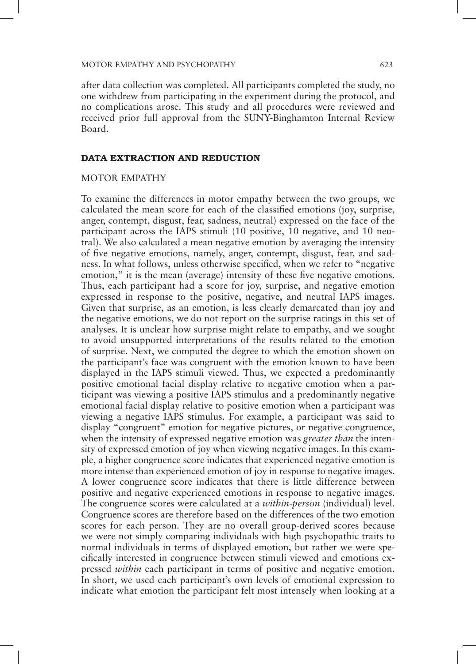after data collection was completed. All participants completed the study, no one withdrew from participating in the experiment during the protocol, and no complications arose. This study and all procedures were reviewed and received prior full approval from the SUNY-Binghamton Internal Review Board.

#### DATA EXTRACTION AND REDUCTION

#### MOTOR EMPATHY

To examine the differences in motor empathy between the two groups, we calculated the mean score for each of the classified emotions (joy, surprise, anger, contempt, disgust, fear, sadness, neutral) expressed on the face of the participant across the IAPS stimuli (10 positive, 10 negative, and 10 neutral). We also calculated a mean negative emotion by averaging the intensity of five negative emotions, namely, anger, contempt, disgust, fear, and sadness. In what follows, unless otherwise specified, when we refer to "negative emotion," it is the mean (average) intensity of these five negative emotions. Thus, each participant had a score for joy, surprise, and negative emotion expressed in response to the positive, negative, and neutral IAPS images. Given that surprise, as an emotion, is less clearly demarcated than joy and the negative emotions, we do not report on the surprise ratings in this set of analyses. It is unclear how surprise might relate to empathy, and we sought to avoid unsupported interpretations of the results related to the emotion of surprise. Next, we computed the degree to which the emotion shown on the participant's face was congruent with the emotion known to have been displayed in the IAPS stimuli viewed. Thus, we expected a predominantly positive emotional facial display relative to negative emotion when a participant was viewing a positive IAPS stimulus and a predominantly negative emotional facial display relative to positive emotion when a participant was viewing a negative IAPS stimulus. For example, a participant was said to display "congruent" emotion for negative pictures, or negative congruence, when the intensity of expressed negative emotion was *greater than* the intensity of expressed emotion of joy when viewing negative images. In this example, a higher congruence score indicates that experienced negative emotion is more intense than experienced emotion of joy in response to negative images. A lower congruence score indicates that there is little difference between positive and negative experienced emotions in response to negative images. The congruence scores were calculated at a *within-person* (individual) level. Congruence scores are therefore based on the differences of the two emotion scores for each person. They are no overall group-derived scores because we were not simply comparing individuals with high psychopathic traits to normal individuals in terms of displayed emotion, but rather we were specifically interested in congruence between stimuli viewed and emotions expressed *within* each participant in terms of positive and negative emotion. In short, we used each participant's own levels of emotional expression to indicate what emotion the participant felt most intensely when looking at a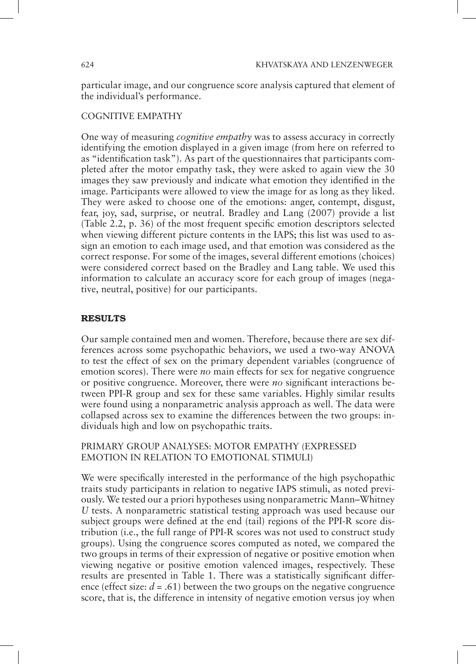particular image, and our congruence score analysis captured that element of the individual's performance.

# COGNITIVE EMPATHY

One way of measuring *cognitive empathy* was to assess accuracy in correctly identifying the emotion displayed in a given image (from here on referred to as "identification task"). As part of the questionnaires that participants completed after the motor empathy task, they were asked to again view the 30 images they saw previously and indicate what emotion they identified in the image. Participants were allowed to view the image for as long as they liked. They were asked to choose one of the emotions: anger, contempt, disgust, fear, joy, sad, surprise, or neutral. Bradley and Lang (2007) provide a list (Table 2.2, p. 36) of the most frequent specific emotion descriptors selected when viewing different picture contents in the IAPS; this list was used to assign an emotion to each image used, and that emotion was considered as the correct response. For some of the images, several different emotions (choices) were considered correct based on the Bradley and Lang table. We used this information to calculate an accuracy score for each group of images (negative, neutral, positive) for our participants.

# RESULTS

Our sample contained men and women. Therefore, because there are sex differences across some psychopathic behaviors, we used a two-way ANOVA to test the effect of sex on the primary dependent variables (congruence of emotion scores). There were *no* main effects for sex for negative congruence or positive congruence. Moreover, there were *no* significant interactions between PPI-R group and sex for these same variables. Highly similar results were found using a nonparametric analysis approach as well. The data were collapsed across sex to examine the differences between the two groups: individuals high and low on psychopathic traits.

# PRIMARY GROUP ANALYSES: MOTOR EMPATHY (EXPRESSED EMOTION IN RELATION TO EMOTIONAL STIMULI)

We were specifically interested in the performance of the high psychopathic traits study participants in relation to negative IAPS stimuli, as noted previously. We tested our a priori hypotheses using nonparametric Mann–Whitney *U* tests. A nonparametric statistical testing approach was used because our subject groups were defined at the end (tail) regions of the PPI-R score distribution (i.e., the full range of PPI-R scores was not used to construct study groups). Using the congruence scores computed as noted, we compared the two groups in terms of their expression of negative or positive emotion when viewing negative or positive emotion valenced images, respectively. These results are presented in Table 1. There was a statistically significant difference (effect size:  $d = .61$ ) between the two groups on the negative congruence score, that is, the difference in intensity of negative emotion versus joy when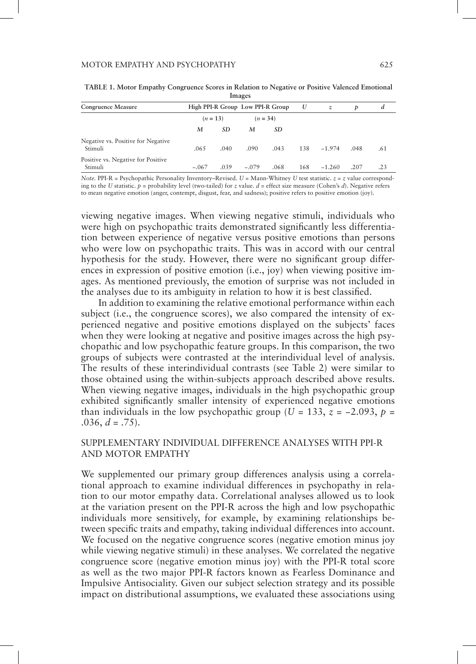| Congruence Measure                            | High PPI-R Group Low PPI-R Group |      |         | U    | z   | D        | d    |     |
|-----------------------------------------------|----------------------------------|------|---------|------|-----|----------|------|-----|
|                                               | $(n = 13)$<br>$(n = 34)$         |      |         |      |     |          |      |     |
|                                               | M                                | SD.  | M       | SD   |     |          |      |     |
| Negative vs. Positive for Negative<br>Stimuli | .065                             | .040 | .090    | .043 | 138 | $-1.974$ | .048 | .61 |
| Positive vs. Negative for Positive<br>Stimuli | $-.067$                          | .039 | $-.079$ | .068 | 168 | $-1.260$ | .207 | .23 |

**TABLE 1. Motor Empathy Congruence Scores in Relation to Negative or Positive Valenced Emotional Images**

*Note.* PPI-R = Psychopathic Personality Inventory–Revised. *U* = Mann-Whitney *U* test statistic. *z* = *z* value corresponding to the *U* statistic.  $p =$  probability level (two-tailed) for *z* value.  $d =$  effect size measure (Cohen's *d*). Negative refers to mean negative emotion (anger, contempt, disgust, fear, and sadness); positive refers to positive emotion (joy).

viewing negative images. When viewing negative stimuli, individuals who were high on psychopathic traits demonstrated significantly less differentiation between experience of negative versus positive emotions than persons who were low on psychopathic traits. This was in accord with our central hypothesis for the study. However, there were no significant group differences in expression of positive emotion (i.e., joy) when viewing positive images. As mentioned previously, the emotion of surprise was not included in the analyses due to its ambiguity in relation to how it is best classified.

In addition to examining the relative emotional performance within each subject (i.e., the congruence scores), we also compared the intensity of experienced negative and positive emotions displayed on the subjects' faces when they were looking at negative and positive images across the high psychopathic and low psychopathic feature groups. In this comparison, the two groups of subjects were contrasted at the interindividual level of analysis. The results of these interindividual contrasts (see Table 2) were similar to those obtained using the within-subjects approach described above results. When viewing negative images, individuals in the high psychopathic group exhibited significantly smaller intensity of experienced negative emotions than individuals in the low psychopathic group ( $U = 133$ ,  $z = -2.093$ ,  $p =$ .036,  $d = .75$ ).

## SUPPLEMENTARY INDIVIDUAL DIFFERENCE ANALYSES WITH PPI-R AND MOTOR EMPATHY

We supplemented our primary group differences analysis using a correlational approach to examine individual differences in psychopathy in relation to our motor empathy data. Correlational analyses allowed us to look at the variation present on the PPI-R across the high and low psychopathic individuals more sensitively, for example, by examining relationships between specific traits and empathy, taking individual differences into account. We focused on the negative congruence scores (negative emotion minus joy while viewing negative stimuli) in these analyses. We correlated the negative congruence score (negative emotion minus joy) with the PPI-R total score as well as the two major PPI-R factors known as Fearless Dominance and Impulsive Antisociality. Given our subject selection strategy and its possible impact on distributional assumptions, we evaluated these associations using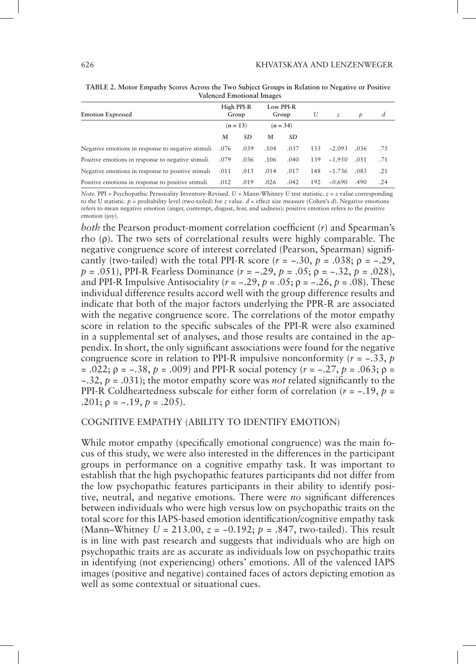| <b>Emotion Expressed</b>                               |            | High PPI-R<br>Group |            | Low PPI-R<br>Group |     | $\mathcal{Z}$ | Þ    | d   |
|--------------------------------------------------------|------------|---------------------|------------|--------------------|-----|---------------|------|-----|
|                                                        | $(n = 13)$ |                     | $(n = 34)$ |                    |     |               |      |     |
|                                                        | M          | SD                  | M          | SD                 |     |               |      |     |
| Negative emotions in response to negative stimuli .076 |            | .039                | .104       | .037               | 133 | $-2.093$      | .036 | .75 |
| Positive emotions in response to negative stimuli      | .079       | .036                | .106       | .040               | 139 | $-1.950$      | .051 | .71 |
| Negative emotions in response to positive stimuli      | .011       | .013                | .014       | .017               | 148 | $-1.736$      | .083 | .21 |
| Positive emotions in response to positive stimuli      | .012       | .019                | .026       | .042               | 192 | $-0.690$      | .490 | .24 |

**TABLE 2. Motor Empathy Scores Across the Two Subject Groups in Relation to Negative or Positive Valenced Emotional Images**

*Note.* PPI = Psychopathic Personality Inventory-Revised. *U* = Mann-Whitney *U* test statistic. *z* = *z* value corresponding to the U statistic.  $p =$  probability level (two-tailed) for *z* value.  $d =$  effect size measure (Cohen's *d*). Negative emotions refers to mean negative emotion (anger, contempt, disgust, fear, and sadness); positive emotion refers to the positive emotion (joy).

*both* the Pearson product-moment correlation coefficient (*r*) and Spearman's rho (ρ). The two sets of correlational results were highly comparable. The negative congruence score of interest correlated (Pearson, Spearman) significantly (two-tailed) with the total PPI-R score  $(r = -.30, p = .038; p = -.29,$ *p* = .051), PPI-R Fearless Dominance (*r* = −.29, *p* = .05; ρ = −.32, *p* = .028), and PPI-R Impulsive Antisociality ( $r = -.29$ ,  $p = .05$ ;  $p = -.26$ ,  $p = .08$ ). These individual difference results accord well with the group difference results and indicate that both of the major factors underlying the PPR-R are associated with the negative congruence score. The correlations of the motor empathy score in relation to the specific subscales of the PPI-R were also examined in a supplemental set of analyses, and those results are contained in the appendix. In short, the only significant associations were found for the negative congruence score in relation to PPI-R impulsive nonconformity (*r* = −.33, *p* = .022; ρ = −.38, *p* = .009) and PPI-R social potency (*r* = −.27, *p* = .063; ρ = −.32, *p* = .031); the motor empathy score was *not* related significantly to the PPI-R Coldheartedness subscale for either form of correlation (*r* = −.19, *p* = .201;  $p = -.19, p = .205$ ).

#### COGNITIVE EMPATHY (ABILITY TO IDENTIFY EMOTION)

While motor empathy (specifically emotional congruence) was the main focus of this study, we were also interested in the differences in the participant groups in performance on a cognitive empathy task. It was important to establish that the high psychopathic features participants did not differ from the low psychopathic features participants in their ability to identify positive, neutral, and negative emotions. There were *no* significant differences between individuals who were high versus low on psychopathic traits on the total score for this IAPS-based emotion identification/cognitive empathy task (Mann–Whitney *U* = 213.00, *z* = −0.192; *p* = .847, two-tailed). This result is in line with past research and suggests that individuals who are high on psychopathic traits are as accurate as individuals low on psychopathic traits in identifying (not experiencing) others' emotions. All of the valenced IAPS images (positive and negative) contained faces of actors depicting emotion as well as some contextual or situational cues.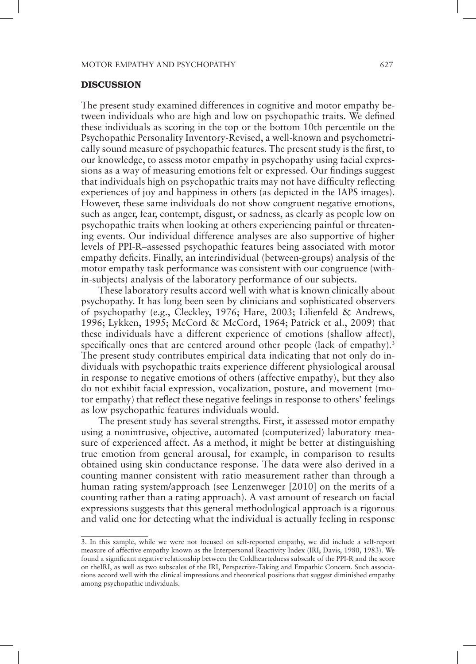#### DISCUSSION

The present study examined differences in cognitive and motor empathy between individuals who are high and low on psychopathic traits. We defined these individuals as scoring in the top or the bottom 10th percentile on the Psychopathic Personality Inventory-Revised, a well-known and psychometrically sound measure of psychopathic features. The present study is the first, to our knowledge, to assess motor empathy in psychopathy using facial expressions as a way of measuring emotions felt or expressed. Our findings suggest that individuals high on psychopathic traits may not have difficulty reflecting experiences of joy and happiness in others (as depicted in the IAPS images). However, these same individuals do not show congruent negative emotions, such as anger, fear, contempt, disgust, or sadness, as clearly as people low on psychopathic traits when looking at others experiencing painful or threatening events. Our individual difference analyses are also supportive of higher levels of PPI-R–assessed psychopathic features being associated with motor empathy deficits. Finally, an interindividual (between-groups) analysis of the motor empathy task performance was consistent with our congruence (within-subjects) analysis of the laboratory performance of our subjects.

These laboratory results accord well with what is known clinically about psychopathy. It has long been seen by clinicians and sophisticated observers of psychopathy (e.g., Cleckley, 1976; Hare, 2003; Lilienfeld & Andrews, 1996; Lykken, 1995; McCord & McCord, 1964; Patrick et al., 2009) that these individuals have a different experience of emotions (shallow affect), specifically ones that are centered around other people (lack of empathy).<sup>3</sup> The present study contributes empirical data indicating that not only do individuals with psychopathic traits experience different physiological arousal in response to negative emotions of others (affective empathy), but they also do not exhibit facial expression, vocalization, posture, and movement (motor empathy) that reflect these negative feelings in response to others' feelings as low psychopathic features individuals would.

The present study has several strengths. First, it assessed motor empathy using a nonintrusive, objective, automated (computerized) laboratory measure of experienced affect. As a method, it might be better at distinguishing true emotion from general arousal, for example, in comparison to results obtained using skin conductance response. The data were also derived in a counting manner consistent with ratio measurement rather than through a human rating system/approach (see Lenzenweger [2010] on the merits of a counting rather than a rating approach). A vast amount of research on facial expressions suggests that this general methodological approach is a rigorous and valid one for detecting what the individual is actually feeling in response

<sup>3.</sup> In this sample, while we were not focused on self-reported empathy, we did include a self-report measure of affective empathy known as the Interpersonal Reactivity Index (IRI; Davis, 1980, 1983). We found a significant negative relationship between the Coldheartedness subscale of the PPI-R and the score on theIRI, as well as two subscales of the IRI, Perspective-Taking and Empathic Concern. Such associations accord well with the clinical impressions and theoretical positions that suggest diminished empathy among psychopathic individuals.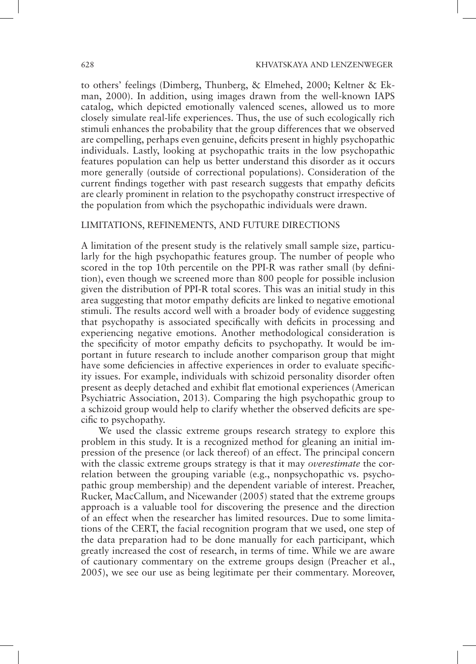to others' feelings (Dimberg, Thunberg, & Elmehed, 2000; Keltner & Ekman, 2000). In addition, using images drawn from the well-known IAPS catalog, which depicted emotionally valenced scenes, allowed us to more closely simulate real-life experiences. Thus, the use of such ecologically rich stimuli enhances the probability that the group differences that we observed are compelling, perhaps even genuine, deficits present in highly psychopathic individuals. Lastly, looking at psychopathic traits in the low psychopathic features population can help us better understand this disorder as it occurs more generally (outside of correctional populations). Consideration of the current findings together with past research suggests that empathy deficits are clearly prominent in relation to the psychopathy construct irrespective of the population from which the psychopathic individuals were drawn.

#### LIMITATIONS, REFINEMENTS, AND FUTURE DIRECTIONS

A limitation of the present study is the relatively small sample size, particularly for the high psychopathic features group. The number of people who scored in the top 10th percentile on the PPI-R was rather small (by definition), even though we screened more than 800 people for possible inclusion given the distribution of PPI-R total scores. This was an initial study in this area suggesting that motor empathy deficits are linked to negative emotional stimuli. The results accord well with a broader body of evidence suggesting that psychopathy is associated specifically with deficits in processing and experiencing negative emotions. Another methodological consideration is the specificity of motor empathy deficits to psychopathy. It would be important in future research to include another comparison group that might have some deficiencies in affective experiences in order to evaluate specificity issues. For example, individuals with schizoid personality disorder often present as deeply detached and exhibit flat emotional experiences (American Psychiatric Association, 2013). Comparing the high psychopathic group to a schizoid group would help to clarify whether the observed deficits are specific to psychopathy.

We used the classic extreme groups research strategy to explore this problem in this study. It is a recognized method for gleaning an initial impression of the presence (or lack thereof) of an effect. The principal concern with the classic extreme groups strategy is that it may *overestimate* the correlation between the grouping variable (e.g., nonpsychopathic vs. psychopathic group membership) and the dependent variable of interest. Preacher, Rucker, MacCallum, and Nicewander (2005) stated that the extreme groups approach is a valuable tool for discovering the presence and the direction of an effect when the researcher has limited resources. Due to some limitations of the CERT, the facial recognition program that we used, one step of the data preparation had to be done manually for each participant, which greatly increased the cost of research, in terms of time. While we are aware of cautionary commentary on the extreme groups design (Preacher et al., 2005), we see our use as being legitimate per their commentary. Moreover,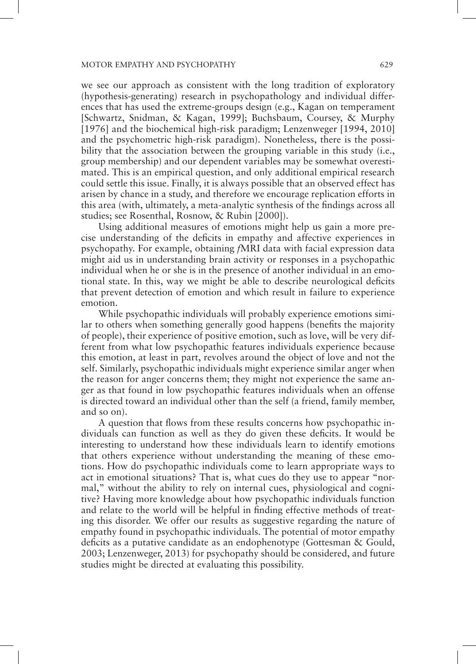we see our approach as consistent with the long tradition of exploratory (hypothesis-generating) research in psychopathology and individual differences that has used the extreme-groups design (e.g., Kagan on temperament [Schwartz, Snidman, & Kagan, 1999]; Buchsbaum, Coursey, & Murphy [1976] and the biochemical high-risk paradigm; Lenzenweger [1994, 2010] and the psychometric high-risk paradigm). Nonetheless, there is the possibility that the association between the grouping variable in this study (i.e., group membership) and our dependent variables may be somewhat overestimated. This is an empirical question, and only additional empirical research could settle this issue. Finally, it is always possible that an observed effect has arisen by chance in a study, and therefore we encourage replication efforts in this area (with, ultimately, a meta-analytic synthesis of the findings across all studies; see Rosenthal, Rosnow, & Rubin [2000]).

Using additional measures of emotions might help us gain a more precise understanding of the deficits in empathy and affective experiences in psychopathy. For example, obtaining *f*MRI data with facial expression data might aid us in understanding brain activity or responses in a psychopathic individual when he or she is in the presence of another individual in an emotional state. In this, way we might be able to describe neurological deficits that prevent detection of emotion and which result in failure to experience emotion.

While psychopathic individuals will probably experience emotions similar to others when something generally good happens (benefits the majority of people), their experience of positive emotion, such as love, will be very different from what low psychopathic features individuals experience because this emotion, at least in part, revolves around the object of love and not the self. Similarly, psychopathic individuals might experience similar anger when the reason for anger concerns them; they might not experience the same anger as that found in low psychopathic features individuals when an offense is directed toward an individual other than the self (a friend, family member, and so on).

A question that flows from these results concerns how psychopathic individuals can function as well as they do given these deficits. It would be interesting to understand how these individuals learn to identify emotions that others experience without understanding the meaning of these emotions. How do psychopathic individuals come to learn appropriate ways to act in emotional situations? That is, what cues do they use to appear "normal," without the ability to rely on internal cues, physiological and cognitive? Having more knowledge about how psychopathic individuals function and relate to the world will be helpful in finding effective methods of treating this disorder. We offer our results as suggestive regarding the nature of empathy found in psychopathic individuals. The potential of motor empathy deficits as a putative candidate as an endophenotype (Gottesman & Gould, 2003; Lenzenweger, 2013) for psychopathy should be considered, and future studies might be directed at evaluating this possibility.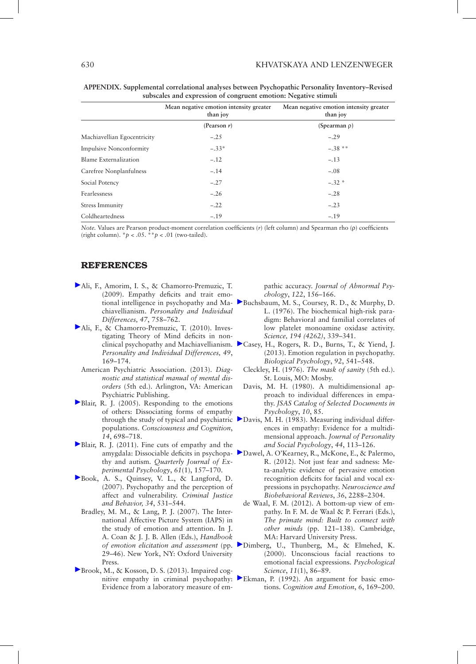|                                | Mean negative emotion intensity greater<br>than joy | Mean negative emotion intensity greater<br>than joy |  |  |  |
|--------------------------------|-----------------------------------------------------|-----------------------------------------------------|--|--|--|
|                                | (Pearson $r$ )                                      | (Spearman $\rho$ )                                  |  |  |  |
| Machiavellian Egocentricity    | $-.25$                                              | $-.29$                                              |  |  |  |
| <b>Impulsive Nonconformity</b> | $-.33*$                                             | $-.38**$                                            |  |  |  |
| <b>Blame Externalization</b>   | $-.12$                                              | $-.13$                                              |  |  |  |
| Carefree Nonplanfulness        | $-.14$                                              | $-.08$                                              |  |  |  |
| Social Potency                 | $-.27$                                              | $-.32$ *                                            |  |  |  |
| Fearlessness                   | $-.26$                                              | $-.28$                                              |  |  |  |
| Stress Immunity                | $-.22$                                              | $-.23$                                              |  |  |  |
| Coldheartedness                | $-.19$                                              | $-.19$                                              |  |  |  |

**APPENDIX. Supplemental correlational analyses between Psychopathic Personality Inventory–Revised subscales and expression of congruent emotion: Negative stimuli**

*Note.* Values are Pearson product-moment correlation coefficients (*r*) (left column) and Spearman rho (ρ) coefficients (right column).  $^*p$  < .05.  $^*p$  < .01 (two-tailed).

#### REFERENCES

- [A](http://guilfordjournals.com/action/showLinks?doi=10.1521%2Fpedi_2015_29_219&crossref=10.1016%2Fj.paid.2009.06.016&citationId=p_1)li, F., Amorim, I. S., & Chamorro-Premuzic, T. (2009). Empathy deficits and trait emochiavellianism. *Personality and Individual Differences, 47*, 758–762.
- [A](http://guilfordjournals.com/action/showLinks?doi=10.1521%2Fpedi_2015_29_219&crossref=10.1016%2Fj.paid.2010.03.027&citationId=p_2)li, F., & Chamorro-Premuzic, T. (2010). Investigating Theory of Mind deficits in non-*Personality and Individual Differences, 49*, 169–174.
	- American Psychiatric Association. (2013). *Diagnostic and statistical manual of mental disorders* (5th ed.). Arlington, VA: American Psychiatric Publishing.
- [B](http://guilfordjournals.com/action/showLinks?doi=10.1521%2Fpedi_2015_29_219&pmid=16157488&crossref=10.1016%2Fj.concog.2005.06.004&citationId=p_4)lair, R. J. (2005). Responding to the emotions of others: Dissociating forms of empathy populations. *Consciousness and Cognition*, *14*, 698–718.
- [B](http://guilfordjournals.com/action/showLinks?doi=10.1521%2Fpedi_2015_29_219&crossref=10.1080%2F17470210701508855&citationId=p_5)lair, R. J. (2011). Fine cuts of empathy and the thy and autism. *Quarterly Journal of Experimental Psychology*, *61*(1), 157–170.
- [B](http://guilfordjournals.com/action/showLinks?doi=10.1521%2Fpedi_2015_29_219&crossref=10.1177%2F0093854806293554&citationId=p_6)ook, A. S., Quinsey, V. L., & Langford, D. (2007). Psychopathy and the perception of affect and vulnerability. *Criminal Justice and Behavior, 34*, 531–544.
	- Bradley, M. M., & Lang, P. J. (2007). The International Affective Picture System (IAPS) in the study of emotion and attention. In J. A. Coan & J. J. B. Allen (Eds.), *Handbook*  29–46). New York, NY: Oxford University Press.
- [B](http://guilfordjournals.com/action/showLinks?doi=10.1521%2Fpedi_2015_29_219&pmid=23067260&crossref=10.1037%2Fa0030261&citationId=p_8)rook, M., & Kosson, D. S. (2013). Impaired cog-Evidence from a laboratory measure of em-

pathic accuracy. *Journal of Abnormal Psychology*, *122*, 156–166.

- tional intelligence in psychopathy and Ma-[B](http://guilfordjournals.com/action/showLinks?doi=10.1521%2Fpedi_2015_29_219&pmid=968488&crossref=10.1126%2Fscience.968488&citationId=p_9)uchsbaum, M. S., Coursey, R. D., & Murphy, D. L. (1976). The biochemical high-risk paradigm: Behavioral and familial correlates of low platelet monoamine oxidase activity. *Science, 194 (4262)*, 339–341.
- clinical psychopathy and Machiavellianism. [C](http://guilfordjournals.com/action/showLinks?doi=10.1521%2Fpedi_2015_29_219&pmid=23079384&crossref=10.1016%2Fj.biopsycho.2012.06.011&citationId=p_10)asey, H., Rogers, R. D., Burns, T., & Yiend, J. (2013). Emotion regulation in psychopathy. *Biological Psychology*, *92*, 541–548.
	- Cleckley, H. (1976). *The mask of sanity* (5th ed.). St. Louis, MO: Mosby.
	- Davis, M. H. (1980). A multidimensional approach to individual differences in empathy. *JSAS Catalog of Selected Documents in Psychology*, *10*, 85.
- through the study of typical and psychiatric [D](http://guilfordjournals.com/action/showLinks?doi=10.1521%2Fpedi_2015_29_219&crossref=10.1037%2F0022-3514.44.1.113&citationId=p_13)avis, M. H. (1983). Measuring individual differences in empathy: Evidence for a multidimensional approach. *Journal of Personality and Social Psychology*, *44*, 113–126.
- amygdala: Dissociable deficits in psychopa-[D](http://guilfordjournals.com/action/showLinks?doi=10.1521%2Fpedi_2015_29_219&pmid=22944264&crossref=10.1016%2Fj.neubiorev.2012.08.006&citationId=p_14)awel, A. O'Kearney, R., McKone, E., & Palermo, R. (2012). Not just fear and sadness: Meta-analytic evidence of pervasive emotion recognition deficits for facial and vocal expressions in psychopathy. *Neuroscience and Biobehavioral Reviews*, *36*, 2288–2304.
	- de Waal, F. M. (2012). A bottom-up view of empathy. In F. M. de Waal & P. Ferrari (Eds.), *The primate mind: Built to connect with other minds* (pp. 121–138). Cambridge, MA: Harvard University Press.
- *of emotion elicitation and assessment* (pp. [D](http://guilfordjournals.com/action/showLinks?doi=10.1521%2Fpedi_2015_29_219&pmid=11228851&crossref=10.1111%2F1467-9280.00221&citationId=p_16)imberg, U., Thunberg, M., & Elmehed, K. (2000). Unconscious facial reactions to emotional facial expressions. *Psychological Science*, *11*(1), 86–89.
- nitive empathy in criminal psychopathy: [E](http://guilfordjournals.com/action/showLinks?doi=10.1521%2Fpedi_2015_29_219&crossref=10.1080%2F02699939208411068&citationId=p_17)kman, P. (1992). An argument for basic emotions. *Cognition and Emotion*, *6*, 169–200.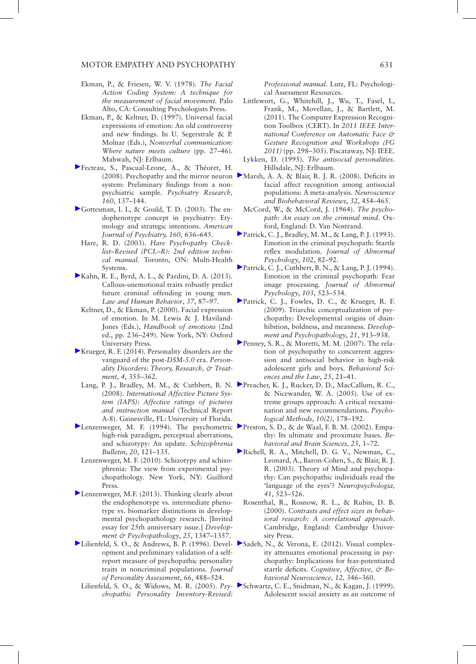- Ekman, P., & Friesen, W. V. (1978). *The Facial Action Coding System: A technique for the measurement of facial movement.* Palo Alto, CA: Consulting Psychologists Press.
- Ekman, P., & Keltner, D. (1997). Universal facial expressions of emotion: An old controversy and new findings. In U. Segerstrale & P. Molnar (Eds.), *Nonverbal communication: Where nature meets culture* (pp. 27–46). Mahwah, NJ: Erlbaum.
- [F](http://guilfordjournals.com/action/showLinks?doi=10.1521%2Fpedi_2015_29_219&pmid=18599127&crossref=10.1016%2Fj.psychres.2007.08.022&citationId=p_20)ecteau, S., Pascual-Leone, A., & Théoret, H. system: Preliminary findings from a nonpsychiatric sample. *Psychiatry Research, 160*, 137–144.
- [G](http://guilfordjournals.com/action/showLinks?doi=10.1521%2Fpedi_2015_29_219&pmid=12668349&crossref=10.1176%2Fappi.ajp.160.4.636&citationId=p_21)ottesman, I. I., & Gould, T. D. (2003). The endophenotype concept in psychiatry: Etymology and strategic intentions. *American Journal of Psychiatry, 160,* 636–645.
- Hare, R. D. (2003). *Hare Psychopathy Checklist–Revised (PCL–R): 2nd edition technical manual*. Toronto, ON: Multi-Health Systems.
- [K](http://guilfordjournals.com/action/showLinks?doi=10.1521%2Fpedi_2015_29_219&pmid=22731505&crossref=10.1037%2Fb0000003&citationId=p_23)ahn, R. E., Byrd, A. L., & Pardini, D. A. (2013). Callous-unemotional traits robustly predict future criminal offending in young men. *Law and Human Behavior*, *37*, 87–97.
	- Keltner, D., & Ekman, P. (2000). Facial expression of emotion. In M. Lewis & J. Haviland-Jones (Eds.), *Handbook of emotions* (2nd ed., pp. 236–249). New York, NY: Oxford University Press.
- [K](http://guilfordjournals.com/action/showLinks?doi=10.1521%2Fpedi_2015_29_219&crossref=10.1037%2Fper0000028&citationId=p_25)rueger, R. F. (2014). Personality disorders are the vanguard of the post-*DSM*-*5.0* era. *Personality Disorders: Theory, Research, & Treatment*, *4*, 355–362.
	- (2008). *International Affective Picture System (IAPS): Affective ratings of pictures and instruction manual* (Technical Report A-8). Gainesville, FL: University of Florida.
- high-risk paradigm, perceptual aberrations, and schizotypy: An update. *Schizophrenia Bulletin*, *20*, 121–135.
- Lenzenweger, M. F. (2010). Schizotypy and schizophrenia: The view from experimental psychopathology. New York, NY: Guilford Press.
- [L](http://guilfordjournals.com/action/showLinks?doi=10.1521%2Fpedi_2015_29_219&pmid=24342844&crossref=10.1017%2FS0954579413000655&citationId=p_29)enzenweger, M.F. (2013). Thinking clearly about the endophenotype vs. intermediate phenotype vs. biomarker distinctions in developmental psychopathology research. [Invited essay for 25th anniversary issue.] *Development & Psychopathology*, *25*, 1347–1357.
- opment and preliminary validation of a selfreport measure of psychopathic personality traits in noncriminal populations. *Journal of Personality Assessment*, *66*, 488–524.
- Lilienfeld, S. O., & Widows, M. R. (2005). *Psy-*[S](http://guilfordjournals.com/action/showLinks?doi=10.1521%2Fpedi_2015_29_219&pmid=10434493&crossref=10.1097%2F00004583-199908000-00017&citationId=p_45)chwartz, C. E., Snidman, N., & Kagan, J. (1999). *chopathic Personality Inventory-Revised:*

*Professional manual*. Lutz, FL: Psychological Assessment Resources.

- Littlewort, G., Whitehill, J., Wu, T., Fasel, I., Frank, M., Movellan, J., & Bartlett, M. (2011). The Computer Expression Recognition Toolbox (CERT). In *2011 IEEE International Conference on Automatic Face & Gesture Recognition and Workshops (FG 2011)* (pp. 298–305). Piscataway, NJ: IEEE.
- Lykken, D. (1995). *The antisocial personalities*. Hillsdale, NJ: Erlbaum.
- (2008). Psychopathy and the mirror neuron [M](http://guilfordjournals.com/action/showLinks?doi=10.1521%2Fpedi_2015_29_219&pmid=17915324&crossref=10.1016%2Fj.neubiorev.2007.08.003&citationId=p_34)arsh, A. A. & Blair, R. J. R. (2008). Deficits in facial affect recognition among antisocial populations: A meta-analysis. *Neuroscience and Biobehavioral Reviews*, *32*, 454–465.
	- McCord, W., & McCord, J. (1964). *The psychopath: An essay on the criminal mind*. Oxford, England: D. Van Nostrand.
	- [P](http://guilfordjournals.com/action/showLinks?doi=10.1521%2Fpedi_2015_29_219&pmid=8436703&crossref=10.1037%2F0021-843X.102.1.82&citationId=p_36)atrick, C. J., Bradley, M. M., & Lang, P. J. (1993). Emotion in the criminal psychopath: Startle reflex modulation. *Journal of Abnormal Psychology*, *102*, 82–92.
	- [P](http://guilfordjournals.com/action/showLinks?doi=10.1521%2Fpedi_2015_29_219&pmid=7930052&crossref=10.1037%2F0021-843X.103.3.523&citationId=p_37)atrick, C. J., Cuthbert, B. N., & Lang, P. J. (1994). Emotion in the criminal psychopath: Fear image processing. *Journal of Abnormal Psychology*, *103*, 523–534.
	- [P](http://guilfordjournals.com/action/showLinks?doi=10.1521%2Fpedi_2015_29_219&pmid=19583890&crossref=10.1017%2FS0954579409000492&citationId=p_38)atrick, C. J., Fowles, D. C., & Krueger, R. F. (2009). Triarchic conceptualization of psychopathy: Developmental origins of disinhibition, boldness, and meanness. *Development and Psychopathology*, *21*, 913–938.
	- [P](http://guilfordjournals.com/action/showLinks?doi=10.1521%2Fpedi_2015_29_219&pmid=16953486&crossref=10.1002%2Fbsl.715&citationId=p_39)enney, S. R., & Moretti, M. M. (2007). The relation of psychopathy to concurrent aggression and antisocial behavior in high-risk adolescent girls and boys. *Behavioral Sciences and the Law*, *25*, 21–41.
- Lang, [P](http://guilfordjournals.com/action/showLinks?doi=10.1521%2Fpedi_2015_29_219&pmid=15998176&crossref=10.1037%2F1082-989X.10.2.178&citationId=p_40). J., Bradley, M. M., & Cuthbert, B. N. Preacher, K. J., Rucker, D. D., MacCallum, R. C., & Nicewander, W. A. (2005). Use of extreme groups approach: A critical reexamination and new recommendations. *Psychological Methods*, *10(2)*, 178–192.
- [L](http://guilfordjournals.com/action/showLinks?doi=10.1521%2Fpedi_2015_29_219&pmid=8197410&crossref=10.1093%2Fschbul%2F20.1.121&citationId=p_27)enzenweger, M. F. (1994). The psychometric [P](http://guilfordjournals.com/action/showLinks?doi=10.1521%2Fpedi_2015_29_219&pmid=12625087&citationId=p_41)reston, S. D., & de Waal, F. B. M. (2002). Empathy: Its ultimate and proximate bases. *Behavioral and Brain Sciences, 25*, 1–72.
	- [R](http://guilfordjournals.com/action/showLinks?doi=10.1521%2Fpedi_2015_29_219&pmid=12559146&crossref=10.1016%2FS0028-3932%2802%2900175-6&citationId=p_42)ichell, R. A., Mitchell, D. G. V., Newman, C., Leonard, A., Baron-Cohen, S., & Blair, R. J. R. (2003). Theory of Mind and psychopathy: Can psychopathic individuals read the 'language of the eyes'? *Neuropsychologia, 41*, 523–526.
		- Rosenthal, R., Rosnow, R. L., & Rubin, D. B. (2000). *Contrasts and effect sizes in behavioral research: A correlational approach*. Cambridge, England: Cambridge University Press.
- [L](http://guilfordjournals.com/action/showLinks?doi=10.1521%2Fpedi_2015_29_219&pmid=8667144&crossref=10.1207%2Fs15327752jpa6603_3&citationId=p_30)ilienfeld, S. O., & Andrews, B. P. (1996). Devel-[S](http://guilfordjournals.com/action/showLinks?doi=10.1521%2Fpedi_2015_29_219&pmid=22187225&crossref=10.3758%2Fs13415-011-0079-1&citationId=p_44)adeh, N., & Verona, E. (2012). Visual complexity attenuates emotional processing in psychopathy: Implications for fear-potentiated startle deficits. *Cognitive, Affective, & Behavioral Neuroscience, 12,* 346–360.
	- Adolescent social anxiety as an outcome of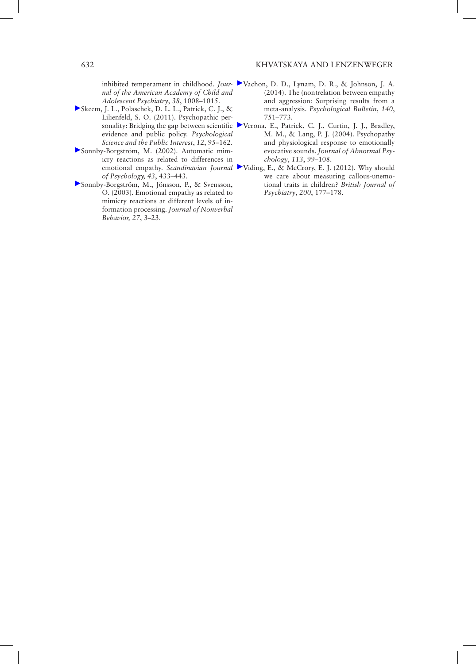*nal of the American Academy of Child and Adolescent Psychiatry*, *38*, 1008–1015.

- [S](http://guilfordjournals.com/action/showLinks?doi=10.1521%2Fpedi_2015_29_219&pmid=26167886&crossref=10.1177%2F1529100611426706&citationId=p_46)keem, J. L., Polaschek, D. L. L., Patrick, C. J., & Lilienfeld, S. O. (2011). Psychopathic perevidence and public policy. *Psychological Science and the Public Interest*, *12*, 95–162.
- [S](http://guilfordjournals.com/action/showLinks?doi=10.1521%2Fpedi_2015_29_219&pmid=12500783&crossref=10.1111%2F1467-9450.00312&citationId=p_47)onnby-Borgström, M. (2002). Automatic mimicry reactions as related to differences in *of Psychology, 43*, 433–443.
- [S](http://guilfordjournals.com/action/showLinks?doi=10.1521%2Fpedi_2015_29_219&crossref=10.1023%2FA%3A1023608506243&citationId=p_48)onnby-Borgström, M., Jönsson, P., & Svensson, O. (2003). Emotional empathy as related to mimicry reactions at different levels of information processing. *Journal of Nonverbal Behavior, 27*, 3–23.
- inhibited temperament in childhood. *Jour-*[V](http://guilfordjournals.com/action/showLinks?doi=10.1521%2Fpedi_2015_29_219&pmid=24364745&crossref=10.1037%2Fa0035236&citationId=p_49)achon, D. D., Lynam, D. R., & Johnson, J. A. (2014). The (non)relation between empathy and aggression: Surprising results from a meta-analysis. *Psychological Bulletin*, *140*, 751–773.
- sonality: Bridging the gap between scientific [V](http://guilfordjournals.com/action/showLinks?doi=10.1521%2Fpedi_2015_29_219&pmid=14992662&crossref=10.1037%2F0021-843X.113.1.99&citationId=p_50)erona, E., Patrick, C. J., Curtin, J. J., Bradley, M. M., & Lang, P. J. (2004). Psychopathy and physiological response to emotionally evocative sounds. *Journal of Abnormal Psychology*, *113*, 99–108.
- emotional empathy. *Scandinavian Journal*  [V](http://guilfordjournals.com/action/showLinks?doi=10.1521%2Fpedi_2015_29_219&pmid=22383762&crossref=10.1192%2Fbjp.bp.111.099770&citationId=p_51)iding, E., & McCrory, E. J. (2012). Why should we care about measuring callous-unemotional traits in children? *British Journal of Psychiatry*, *200*, 177–178.